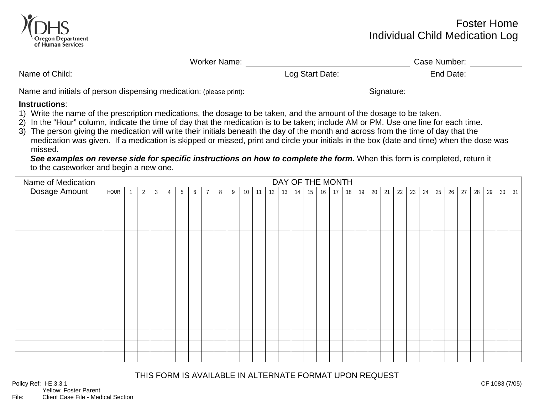

## Foster Home Individual Child Medication Log

|                 | Case Number: |            |
|-----------------|--------------|------------|
| Log Start Date: | End Date:    |            |
|                 |              |            |
|                 |              | Signature: |

## **Instructions**:

- 1) Write the name of the prescription medications, the dosage to be taken, and the amount of the dosage to be taken.
- 2) In the "Hour" column, indicate the time of day that the medication is to be taken; include AM or PM. Use one line for each time.
- 3) The person giving the medication will write their initials beneath the day of the month and across from the time of day that the medication was given. If a medication is skipped or missed, print and circle your initials in the box (date and time) when the dose was missed.

*See examples on reverse side for specific instructions on how to complete the form.* When this form is completed, return it to the caseworker and begin a new one.

| Name of Medication | DAY OF THE MONTH |  |                |                |   |                 |   |                |   |   |    |    |    |    |    |    |    |    |    |    |    |    |    |    |    |    |    |    |    |    |        |    |
|--------------------|------------------|--|----------------|----------------|---|-----------------|---|----------------|---|---|----|----|----|----|----|----|----|----|----|----|----|----|----|----|----|----|----|----|----|----|--------|----|
| Dosage Amount      | HOUR             |  | $\overline{2}$ | $\mathfrak{Z}$ | 4 | $5\overline{)}$ | 6 | $\overline{7}$ | 8 | 9 | 10 | 11 | 12 | 13 | 14 | 15 | 16 | 17 | 18 | 19 | 20 | 21 | 22 | 23 | 24 | 25 | 26 | 27 | 28 | 29 | $30\,$ | 31 |
|                    |                  |  |                |                |   |                 |   |                |   |   |    |    |    |    |    |    |    |    |    |    |    |    |    |    |    |    |    |    |    |    |        |    |
|                    |                  |  |                |                |   |                 |   |                |   |   |    |    |    |    |    |    |    |    |    |    |    |    |    |    |    |    |    |    |    |    |        |    |
|                    |                  |  |                |                |   |                 |   |                |   |   |    |    |    |    |    |    |    |    |    |    |    |    |    |    |    |    |    |    |    |    |        |    |
|                    |                  |  |                |                |   |                 |   |                |   |   |    |    |    |    |    |    |    |    |    |    |    |    |    |    |    |    |    |    |    |    |        |    |
|                    |                  |  |                |                |   |                 |   |                |   |   |    |    |    |    |    |    |    |    |    |    |    |    |    |    |    |    |    |    |    |    |        |    |
|                    |                  |  |                |                |   |                 |   |                |   |   |    |    |    |    |    |    |    |    |    |    |    |    |    |    |    |    |    |    |    |    |        |    |
|                    |                  |  |                |                |   |                 |   |                |   |   |    |    |    |    |    |    |    |    |    |    |    |    |    |    |    |    |    |    |    |    |        |    |
|                    |                  |  |                |                |   |                 |   |                |   |   |    |    |    |    |    |    |    |    |    |    |    |    |    |    |    |    |    |    |    |    |        |    |
|                    |                  |  |                |                |   |                 |   |                |   |   |    |    |    |    |    |    |    |    |    |    |    |    |    |    |    |    |    |    |    |    |        |    |
|                    |                  |  |                |                |   |                 |   |                |   |   |    |    |    |    |    |    |    |    |    |    |    |    |    |    |    |    |    |    |    |    |        |    |
|                    |                  |  |                |                |   |                 |   |                |   |   |    |    |    |    |    |    |    |    |    |    |    |    |    |    |    |    |    |    |    |    |        |    |
|                    |                  |  |                |                |   |                 |   |                |   |   |    |    |    |    |    |    |    |    |    |    |    |    |    |    |    |    |    |    |    |    |        |    |
|                    |                  |  |                |                |   |                 |   |                |   |   |    |    |    |    |    |    |    |    |    |    |    |    |    |    |    |    |    |    |    |    |        |    |
|                    |                  |  |                |                |   |                 |   |                |   |   |    |    |    |    |    |    |    |    |    |    |    |    |    |    |    |    |    |    |    |    |        |    |
|                    |                  |  |                |                |   |                 |   |                |   |   |    |    |    |    |    |    |    |    |    |    |    |    |    |    |    |    |    |    |    |    |        |    |

THIS FORM IS AVAILABLE IN ALTERNATE FORMAT UPON REQUEST